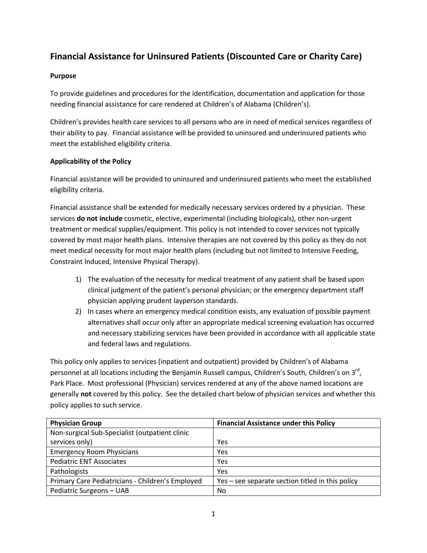# **Financial Assistance for Uninsured Patients (Discounted Care or Charity Care)**

## **Purpose**

To provide guidelines and procedures for the identification, documentation and application for those needing financial assistance for care rendered at Children's of Alabama (Children's).

Children's provides health care services to all persons who are in need of medical services regardless of their ability to pay. Financial assistance will be provided to uninsured and underinsured patients who meet the established eligibility criteria.

## **Applicability of the Policy**

Financial assistance will be provided to uninsured and underinsured patients who meet the established eligibility criteria.

Financial assistance shall be extended for medically necessary services ordered by a physician. These services **do not include** cosmetic, elective, experimental (including biologicals), other non-urgent treatment or medical supplies/equipment. This policy is not intended to cover services not typically covered by most major health plans. Intensive therapies are not covered by this policy as they do not meet medical necessity for most major health plans (including but not limited to Intensive Feeding, Constraint Induced, Intensive Physical Therapy).

- 1) The evaluation of the necessity for medical treatment of any patient shall be based upon clinical judgment of the patient's personal physician; or the emergency department staff physician applying prudent layperson standards.
- 2) In cases where an emergency medical condition exists, any evaluation of possible payment alternatives shall occur only after an appropriate medical screening evaluation has occurred and necessary stabilizing services have been provided in accordance with all applicable state and federal laws and regulations.

This policy only applies to services (inpatient and outpatient) provided by Children's of Alabama personnel at all locations including the Benjamin Russell campus, Children's South, Children's on 3<sup>rd</sup>, Park Place. Most professional (Physician) services rendered at any of the above named locations are generally **not** covered by this policy. See the detailed chart below of physician services and whether this policy applies to such service.

| <b>Physician Group</b>                           | <b>Financial Assistance under this Policy</b>    |
|--------------------------------------------------|--------------------------------------------------|
| Non-surgical Sub-Specialist (outpatient clinic   |                                                  |
| services only)                                   | Yes                                              |
| <b>Emergency Room Physicians</b>                 | Yes                                              |
| <b>Pediatric ENT Associates</b>                  | Yes                                              |
| Pathologists                                     | <b>Yes</b>                                       |
| Primary Care Pediatricians - Children's Employed | Yes - see separate section titled in this policy |
| Pediatric Surgeons - UAB                         | No                                               |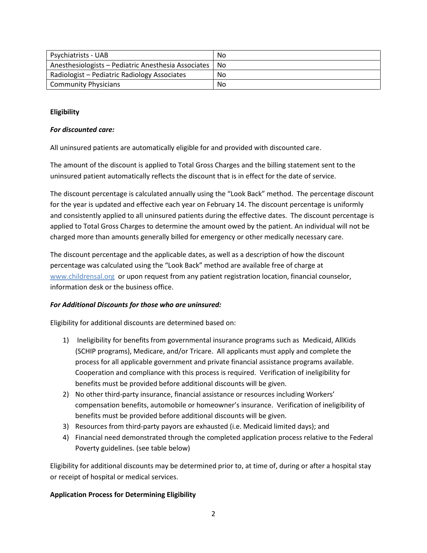| <b>Psychiatrists - UAB</b>                          | No |
|-----------------------------------------------------|----|
| Anesthesiologists - Pediatric Anesthesia Associates | No |
| Radiologist – Pediatric Radiology Associates        | No |
| <b>Community Physicians</b>                         | No |

#### **Eligibility**

#### *For discounted care:*

All uninsured patients are automatically eligible for and provided with discounted care.

The amount of the discount is applied to Total Gross Charges and the billing statement sent to the uninsured patient automatically reflects the discount that is in effect for the date of service.

The discount percentage is calculated annually using the "Look Back" method. The percentage discount for the year is updated and effective each year on February 14. The discount percentage is uniformly and consistently applied to all uninsured patients during the effective dates. The discount percentage is applied to Total Gross Charges to determine the amount owed by the patient. An individual will not be charged more than amounts generally billed for emergency or other medically necessary care.

The discount percentage and the applicable dates, as well as a description of how the discount percentage was calculated using the "Look Back" method are available free of charge at [www.childrensal.org](http://www.childrensal.org/) or upon request from any patient registration location, financial counselor, information desk or the business office.

#### *For Additional Discounts for those who are uninsured:*

Eligibility for additional discounts are determined based on:

- 1) Ineligibility for benefits from governmental insurance programs such as Medicaid, AllKids (SCHIP programs), Medicare, and/or Tricare. All applicants must apply and complete the process for all applicable government and private financial assistance programs available. Cooperation and compliance with this process is required. Verification of ineligibility for benefits must be provided before additional discounts will be given.
- 2) No other third-party insurance, financial assistance or resources including Workers' compensation benefits, automobile or homeowner's insurance. Verification of ineligibility of benefits must be provided before additional discounts will be given.
- 3) Resources from third-party payors are exhausted (i.e. Medicaid limited days); and
- 4) Financial need demonstrated through the completed application process relative to the Federal Poverty guidelines. (see table below)

Eligibility for additional discounts may be determined prior to, at time of, during or after a hospital stay or receipt of hospital or medical services.

#### **Application Process for Determining Eligibility**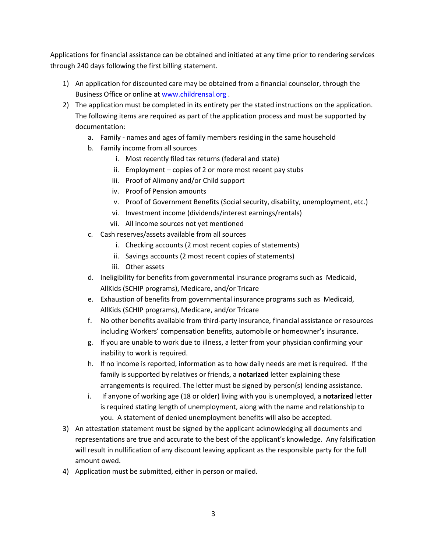Applications for financial assistance can be obtained and initiated at any time prior to rendering services through 240 days following the first billing statement.

- 1) An application for discounted care may be obtained from a financial counselor, through the Business Office or online at [www.childrensal.org](http://www.childrensal.org/) .
- 2) The application must be completed in its entirety per the stated instructions on the application. The following items are required as part of the application process and must be supported by documentation:
	- a. Family names and ages of family members residing in the same household
	- b. Family income from all sources
		- i. Most recently filed tax returns (federal and state)
		- ii. Employment copies of 2 or more most recent pay stubs
		- iii. Proof of Alimony and/or Child support
		- iv. Proof of Pension amounts
		- v. Proof of Government Benefits (Social security, disability, unemployment, etc.)
		- vi. Investment income (dividends/interest earnings/rentals)
		- vii. All income sources not yet mentioned
	- c. Cash reserves/assets available from all sources
		- i. Checking accounts (2 most recent copies of statements)
		- ii. Savings accounts (2 most recent copies of statements)
		- iii. Other assets
	- d. Ineligibility for benefits from governmental insurance programs such as Medicaid, AllKids (SCHIP programs), Medicare, and/or Tricare
	- e. Exhaustion of benefits from governmental insurance programs such as Medicaid, AllKids (SCHIP programs), Medicare, and/or Tricare
	- f. No other benefits available from third-party insurance, financial assistance or resources including Workers' compensation benefits, automobile or homeowner's insurance.
	- g. If you are unable to work due to illness, a letter from your physician confirming your inability to work is required.
	- h. If no income is reported, information as to how daily needs are met is required. If the family is supported by relatives or friends, a **notarized** letter explaining these arrangements is required. The letter must be signed by person(s) lending assistance.
	- i. If anyone of working age (18 or older) living with you is unemployed, a **notarized** letter is required stating length of unemployment, along with the name and relationship to you. A statement of denied unemployment benefits will also be accepted.
- 3) An attestation statement must be signed by the applicant acknowledging all documents and representations are true and accurate to the best of the applicant's knowledge. Any falsification will result in nullification of any discount leaving applicant as the responsible party for the full amount owed.
- 4) Application must be submitted, either in person or mailed.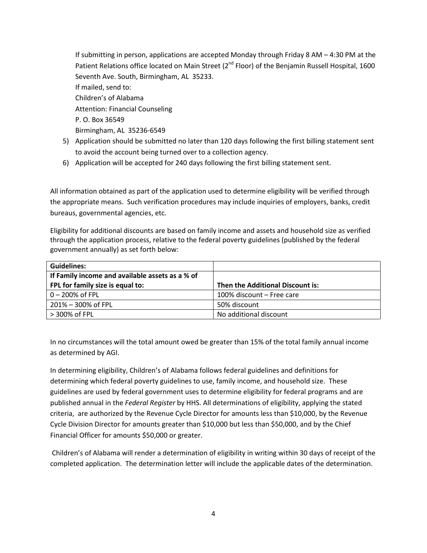If submitting in person, applications are accepted Monday through Friday 8 AM – 4:30 PM at the Patient Relations office located on Main Street (2<sup>nd</sup> Floor) of the Benjamin Russell Hospital, 1600 Seventh Ave. South, Birmingham, AL 35233. If mailed, send to: Children's of Alabama Attention: Financial Counseling P. O. Box 36549 Birmingham, AL 35236-6549

- 5) Application should be submitted no later than 120 days following the first billing statement sent to avoid the account being turned over to a collection agency.
- 6) Application will be accepted for 240 days following the first billing statement sent.

All information obtained as part of the application used to determine eligibility will be verified through the appropriate means. Such verification procedures may include inquiries of employers, banks, credit bureaus, governmental agencies, etc.

Eligibility for additional discounts are based on family income and assets and household size as verified through the application process, relative to the federal poverty guidelines (published by the federal government annually) as set forth below:

| <b>Guidelines:</b>                              |                                  |
|-------------------------------------------------|----------------------------------|
| If Family income and available assets as a % of |                                  |
| FPL for family size is equal to:                | Then the Additional Discount is: |
| $0 - 200\%$ of FPL                              | 100% discount – Free care        |
| 201% – 300% of FPL                              | 50% discount                     |
| > 300% of FPL                                   | No additional discount           |

In no circumstances will the total amount owed be greater than 15% of the total family annual income as determined by AGI.

In determining eligibility, Children's of Alabama follows federal guidelines and definitions for determining which federal poverty guidelines to use, family income, and household size. These guidelines are used by federal government uses to determine eligibility for federal programs and are published annual in the *Federal Register* by HHS. All determinations of eligibility, applying the stated criteria, are authorized by the Revenue Cycle Director for amounts less than \$10,000, by the Revenue Cycle Division Director for amounts greater than \$10,000 but less than \$50,000, and by the Chief Financial Officer for amounts \$50,000 or greater.

Children's of Alabama will render a determination of eligibility in writing within 30 days of receipt of the completed application. The determination letter will include the applicable dates of the determination.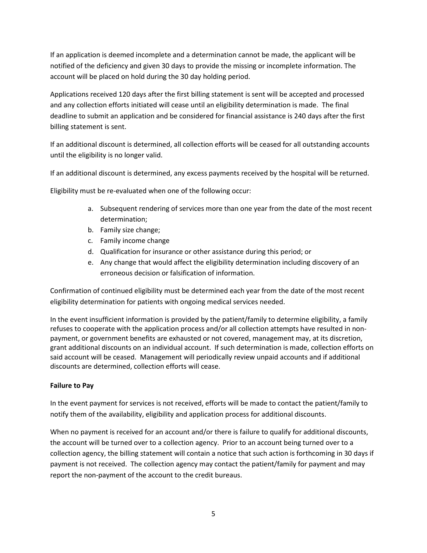If an application is deemed incomplete and a determination cannot be made, the applicant will be notified of the deficiency and given 30 days to provide the missing or incomplete information. The account will be placed on hold during the 30 day holding period.

Applications received 120 days after the first billing statement is sent will be accepted and processed and any collection efforts initiated will cease until an eligibility determination is made. The final deadline to submit an application and be considered for financial assistance is 240 days after the first billing statement is sent.

If an additional discount is determined, all collection efforts will be ceased for all outstanding accounts until the eligibility is no longer valid.

If an additional discount is determined, any excess payments received by the hospital will be returned.

Eligibility must be re-evaluated when one of the following occur:

- a. Subsequent rendering of services more than one year from the date of the most recent determination;
- b. Family size change;
- c. Family income change
- d. Qualification for insurance or other assistance during this period; or
- e. Any change that would affect the eligibility determination including discovery of an erroneous decision or falsification of information.

Confirmation of continued eligibility must be determined each year from the date of the most recent eligibility determination for patients with ongoing medical services needed.

In the event insufficient information is provided by the patient/family to determine eligibility, a family refuses to cooperate with the application process and/or all collection attempts have resulted in nonpayment, or government benefits are exhausted or not covered, management may, at its discretion, grant additional discounts on an individual account. If such determination is made, collection efforts on said account will be ceased. Management will periodically review unpaid accounts and if additional discounts are determined, collection efforts will cease.

## **Failure to Pay**

In the event payment for services is not received, efforts will be made to contact the patient/family to notify them of the availability, eligibility and application process for additional discounts.

When no payment is received for an account and/or there is failure to qualify for additional discounts, the account will be turned over to a collection agency. Prior to an account being turned over to a collection agency, the billing statement will contain a notice that such action is forthcoming in 30 days if payment is not received. The collection agency may contact the patient/family for payment and may report the non-payment of the account to the credit bureaus.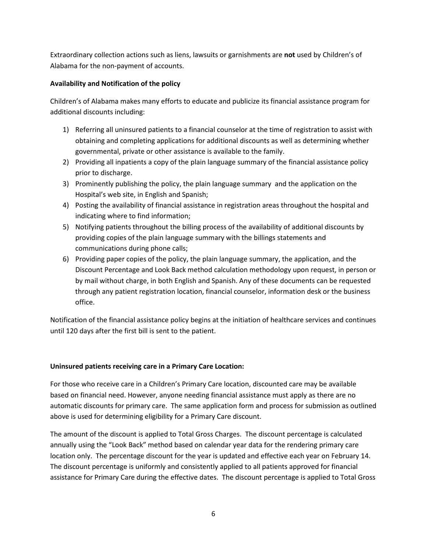Extraordinary collection actions such as liens, lawsuits or garnishments are **not** used by Children's of Alabama for the non-payment of accounts.

## **Availability and Notification of the policy**

Children's of Alabama makes many efforts to educate and publicize its financial assistance program for additional discounts including:

- 1) Referring all uninsured patients to a financial counselor at the time of registration to assist with obtaining and completing applications for additional discounts as well as determining whether governmental, private or other assistance is available to the family.
- 2) Providing all inpatients a copy of the plain language summary of the financial assistance policy prior to discharge.
- 3) Prominently publishing the policy, the plain language summary and the application on the Hospital's web site, in English and Spanish;
- 4) Posting the availability of financial assistance in registration areas throughout the hospital and indicating where to find information;
- 5) Notifying patients throughout the billing process of the availability of additional discounts by providing copies of the plain language summary with the billings statements and communications during phone calls;
- 6) Providing paper copies of the policy, the plain language summary, the application, and the Discount Percentage and Look Back method calculation methodology upon request, in person or by mail without charge, in both English and Spanish. Any of these documents can be requested through any patient registration location, financial counselor, information desk or the business office.

Notification of the financial assistance policy begins at the initiation of healthcare services and continues until 120 days after the first bill is sent to the patient.

## **Uninsured patients receiving care in a Primary Care Location:**

For those who receive care in a Children's Primary Care location, discounted care may be available based on financial need. However, anyone needing financial assistance must apply as there are no automatic discounts for primary care. The same application form and process for submission as outlined above is used for determining eligibility for a Primary Care discount.

The amount of the discount is applied to Total Gross Charges. The discount percentage is calculated annually using the "Look Back" method based on calendar year data for the rendering primary care location only. The percentage discount for the year is updated and effective each year on February 14. The discount percentage is uniformly and consistently applied to all patients approved for financial assistance for Primary Care during the effective dates. The discount percentage is applied to Total Gross